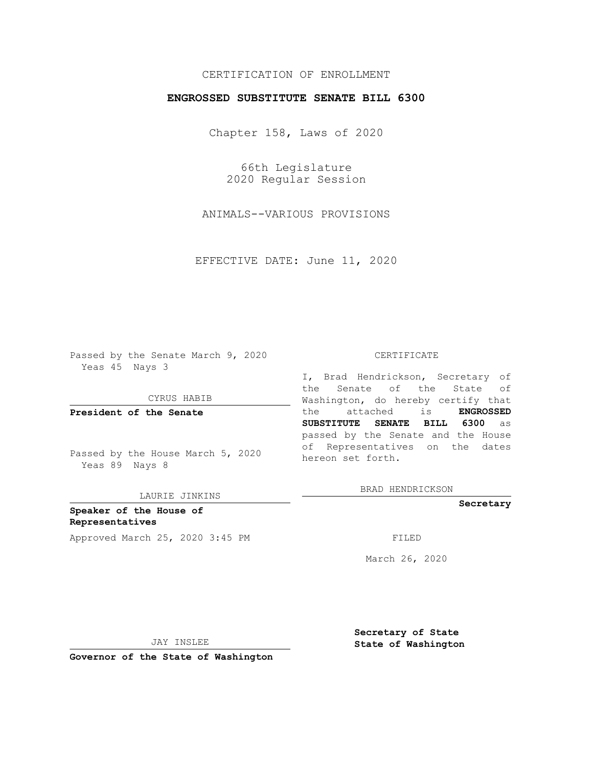## CERTIFICATION OF ENROLLMENT

## **ENGROSSED SUBSTITUTE SENATE BILL 6300**

Chapter 158, Laws of 2020

66th Legislature 2020 Regular Session

ANIMALS--VARIOUS PROVISIONS

EFFECTIVE DATE: June 11, 2020

Passed by the Senate March 9, 2020 Yeas 45 Nays 3

CYRUS HABIB

**President of the Senate**

Passed by the House March 5, 2020 Yeas 89 Nays 8

LAURIE JINKINS

**Speaker of the House of Representatives** Approved March 25, 2020 3:45 PM FILED

#### CERTIFICATE

I, Brad Hendrickson, Secretary of the Senate of the State of Washington, do hereby certify that the attached is **ENGROSSED SUBSTITUTE SENATE BILL 6300** as passed by the Senate and the House of Representatives on the dates hereon set forth.

BRAD HENDRICKSON

**Secretary**

March 26, 2020

JAY INSLEE

**Secretary of State State of Washington**

**Governor of the State of Washington**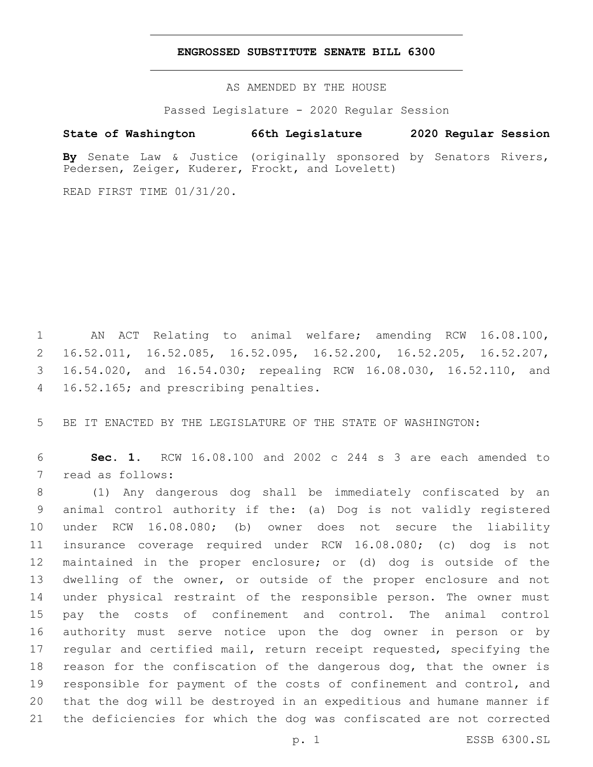### **ENGROSSED SUBSTITUTE SENATE BILL 6300**

AS AMENDED BY THE HOUSE

Passed Legislature - 2020 Regular Session

# **State of Washington 66th Legislature 2020 Regular Session**

**By** Senate Law & Justice (originally sponsored by Senators Rivers, Pedersen, Zeiger, Kuderer, Frockt, and Lovelett)

READ FIRST TIME 01/31/20.

 AN ACT Relating to animal welfare; amending RCW 16.08.100, 16.52.011, 16.52.085, 16.52.095, 16.52.200, 16.52.205, 16.52.207, 16.54.020, and 16.54.030; repealing RCW 16.08.030, 16.52.110, and 4 16.52.165; and prescribing penalties.

BE IT ENACTED BY THE LEGISLATURE OF THE STATE OF WASHINGTON:

 **Sec. 1.** RCW 16.08.100 and 2002 c 244 s 3 are each amended to 7 read as follows:

 (1) Any dangerous dog shall be immediately confiscated by an animal control authority if the: (a) Dog is not validly registered under RCW 16.08.080; (b) owner does not secure the liability insurance coverage required under RCW 16.08.080; (c) dog is not maintained in the proper enclosure; or (d) dog is outside of the 13 dwelling of the owner, or outside of the proper enclosure and not under physical restraint of the responsible person. The owner must pay the costs of confinement and control. The animal control authority must serve notice upon the dog owner in person or by regular and certified mail, return receipt requested, specifying the reason for the confiscation of the dangerous dog, that the owner is responsible for payment of the costs of confinement and control, and that the dog will be destroyed in an expeditious and humane manner if the deficiencies for which the dog was confiscated are not corrected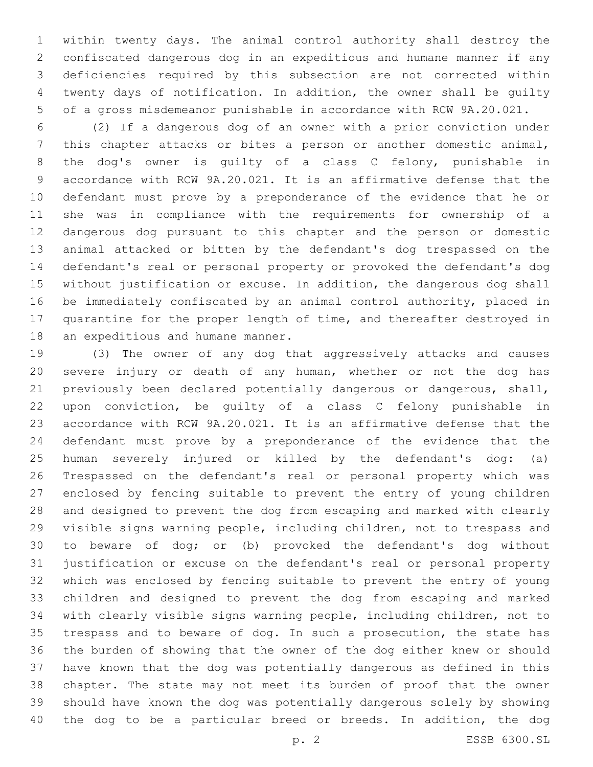within twenty days. The animal control authority shall destroy the confiscated dangerous dog in an expeditious and humane manner if any deficiencies required by this subsection are not corrected within twenty days of notification. In addition, the owner shall be guilty of a gross misdemeanor punishable in accordance with RCW 9A.20.021.

 (2) If a dangerous dog of an owner with a prior conviction under this chapter attacks or bites a person or another domestic animal, the dog's owner is guilty of a class C felony, punishable in accordance with RCW 9A.20.021. It is an affirmative defense that the defendant must prove by a preponderance of the evidence that he or she was in compliance with the requirements for ownership of a dangerous dog pursuant to this chapter and the person or domestic animal attacked or bitten by the defendant's dog trespassed on the defendant's real or personal property or provoked the defendant's dog without justification or excuse. In addition, the dangerous dog shall be immediately confiscated by an animal control authority, placed in quarantine for the proper length of time, and thereafter destroyed in 18 an expeditious and humane manner.

 (3) The owner of any dog that aggressively attacks and causes severe injury or death of any human, whether or not the dog has previously been declared potentially dangerous or dangerous, shall, upon conviction, be guilty of a class C felony punishable in accordance with RCW 9A.20.021. It is an affirmative defense that the defendant must prove by a preponderance of the evidence that the human severely injured or killed by the defendant's dog: (a) Trespassed on the defendant's real or personal property which was enclosed by fencing suitable to prevent the entry of young children and designed to prevent the dog from escaping and marked with clearly visible signs warning people, including children, not to trespass and to beware of dog; or (b) provoked the defendant's dog without justification or excuse on the defendant's real or personal property which was enclosed by fencing suitable to prevent the entry of young children and designed to prevent the dog from escaping and marked with clearly visible signs warning people, including children, not to trespass and to beware of dog. In such a prosecution, the state has the burden of showing that the owner of the dog either knew or should have known that the dog was potentially dangerous as defined in this chapter. The state may not meet its burden of proof that the owner should have known the dog was potentially dangerous solely by showing the dog to be a particular breed or breeds. In addition, the dog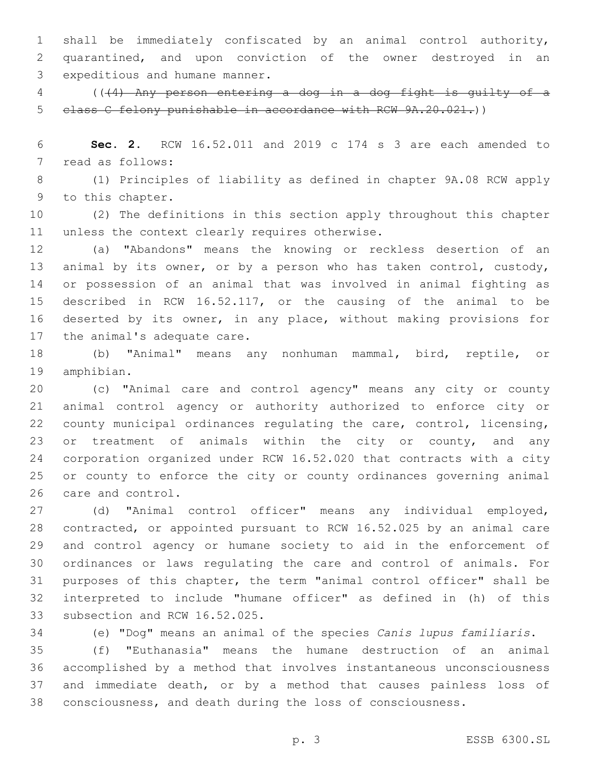shall be immediately confiscated by an animal control authority, quarantined, and upon conviction of the owner destroyed in an 3 expeditious and humane manner.

 (((4) Any person entering a dog in a dog fight is guilty of a class C felony punishable in accordance with RCW 9A.20.021.))

 **Sec. 2.** RCW 16.52.011 and 2019 c 174 s 3 are each amended to 7 read as follows:

 (1) Principles of liability as defined in chapter 9A.08 RCW apply 9 to this chapter.

 (2) The definitions in this section apply throughout this chapter 11 unless the context clearly requires otherwise.

 (a) "Abandons" means the knowing or reckless desertion of an animal by its owner, or by a person who has taken control, custody, or possession of an animal that was involved in animal fighting as described in RCW 16.52.117, or the causing of the animal to be deserted by its owner, in any place, without making provisions for 17 the animal's adequate care.

 (b) "Animal" means any nonhuman mammal, bird, reptile, or 19 amphibian.

 (c) "Animal care and control agency" means any city or county animal control agency or authority authorized to enforce city or county municipal ordinances regulating the care, control, licensing, 23 or treatment of animals within the city or county, and any corporation organized under RCW 16.52.020 that contracts with a city or county to enforce the city or county ordinances governing animal 26 care and control.

 (d) "Animal control officer" means any individual employed, contracted, or appointed pursuant to RCW 16.52.025 by an animal care and control agency or humane society to aid in the enforcement of ordinances or laws regulating the care and control of animals. For purposes of this chapter, the term "animal control officer" shall be interpreted to include "humane officer" as defined in (h) of this 33 subsection and RCW 16.52.025.

(e) "Dog" means an animal of the species *Canis lupus familiaris*.

 (f) "Euthanasia" means the humane destruction of an animal accomplished by a method that involves instantaneous unconsciousness and immediate death, or by a method that causes painless loss of consciousness, and death during the loss of consciousness.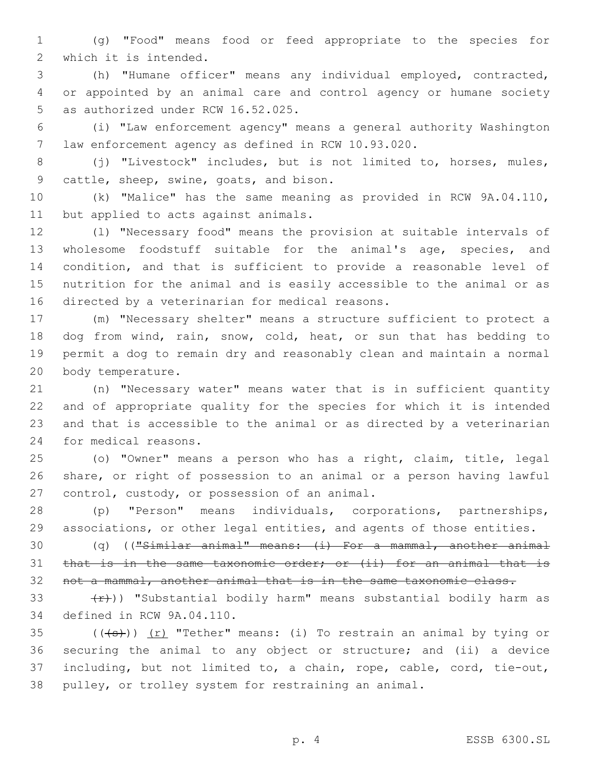(g) "Food" means food or feed appropriate to the species for 2 which it is intended.

 (h) "Humane officer" means any individual employed, contracted, or appointed by an animal care and control agency or humane society 5 as authorized under RCW 16.52.025.

 (i) "Law enforcement agency" means a general authority Washington law enforcement agency as defined in RCW 10.93.020.

 (j) "Livestock" includes, but is not limited to, horses, mules, 9 cattle, sheep, swine, goats, and bison.

 (k) "Malice" has the same meaning as provided in RCW 9A.04.110, 11 but applied to acts against animals.

 (l) "Necessary food" means the provision at suitable intervals of wholesome foodstuff suitable for the animal's age, species, and condition, and that is sufficient to provide a reasonable level of nutrition for the animal and is easily accessible to the animal or as 16 directed by a veterinarian for medical reasons.

 (m) "Necessary shelter" means a structure sufficient to protect a dog from wind, rain, snow, cold, heat, or sun that has bedding to permit a dog to remain dry and reasonably clean and maintain a normal 20 body temperature.

 (n) "Necessary water" means water that is in sufficient quantity and of appropriate quality for the species for which it is intended and that is accessible to the animal or as directed by a veterinarian 24 for medical reasons.

 (o) "Owner" means a person who has a right, claim, title, legal share, or right of possession to an animal or a person having lawful 27 control, custody, or possession of an animal.

 (p) "Person" means individuals, corporations, partnerships, associations, or other legal entities, and agents of those entities.

 (q) (("Similar animal" means: (i) For a mammal, another animal 31 that is in the same taxonomic order; or (ii) for an animal that is 32 not a mammal, another animal that is in the same taxonomic class.

33  $(r)$ )) "Substantial bodily harm" means substantial bodily harm as 34 defined in RCW 9A.04.110.

 $((+s))$   $(r)$  "Tether" means: (i) To restrain an animal by tying or securing the animal to any object or structure; and (ii) a device including, but not limited to, a chain, rope, cable, cord, tie-out, pulley, or trolley system for restraining an animal.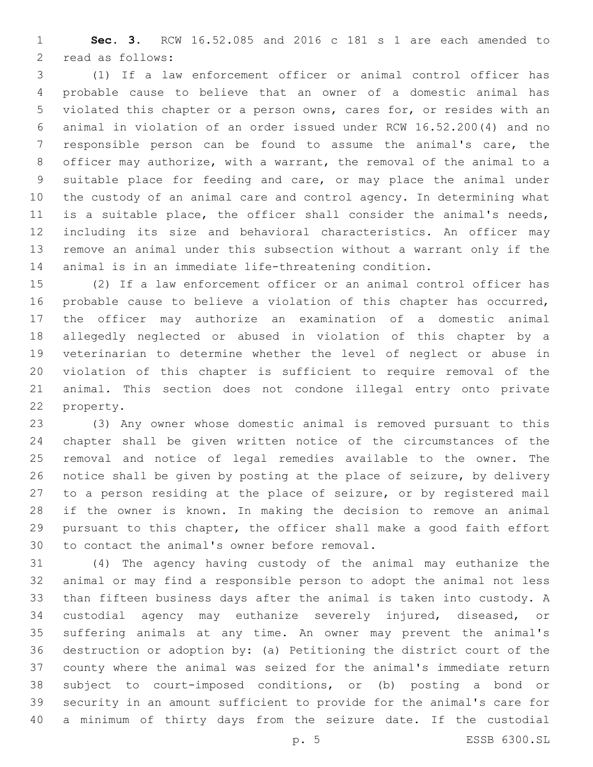**Sec. 3.** RCW 16.52.085 and 2016 c 181 s 1 are each amended to 2 read as follows:

 (1) If a law enforcement officer or animal control officer has probable cause to believe that an owner of a domestic animal has violated this chapter or a person owns, cares for, or resides with an animal in violation of an order issued under RCW 16.52.200(4) and no responsible person can be found to assume the animal's care, the officer may authorize, with a warrant, the removal of the animal to a suitable place for feeding and care, or may place the animal under the custody of an animal care and control agency. In determining what is a suitable place, the officer shall consider the animal's needs, including its size and behavioral characteristics. An officer may remove an animal under this subsection without a warrant only if the animal is in an immediate life-threatening condition.

 (2) If a law enforcement officer or an animal control officer has probable cause to believe a violation of this chapter has occurred, the officer may authorize an examination of a domestic animal allegedly neglected or abused in violation of this chapter by a veterinarian to determine whether the level of neglect or abuse in violation of this chapter is sufficient to require removal of the animal. This section does not condone illegal entry onto private 22 property.

 (3) Any owner whose domestic animal is removed pursuant to this chapter shall be given written notice of the circumstances of the removal and notice of legal remedies available to the owner. The notice shall be given by posting at the place of seizure, by delivery to a person residing at the place of seizure, or by registered mail if the owner is known. In making the decision to remove an animal pursuant to this chapter, the officer shall make a good faith effort 30 to contact the animal's owner before removal.

 (4) The agency having custody of the animal may euthanize the animal or may find a responsible person to adopt the animal not less than fifteen business days after the animal is taken into custody. A custodial agency may euthanize severely injured, diseased, or suffering animals at any time. An owner may prevent the animal's destruction or adoption by: (a) Petitioning the district court of the county where the animal was seized for the animal's immediate return subject to court-imposed conditions, or (b) posting a bond or security in an amount sufficient to provide for the animal's care for a minimum of thirty days from the seizure date. If the custodial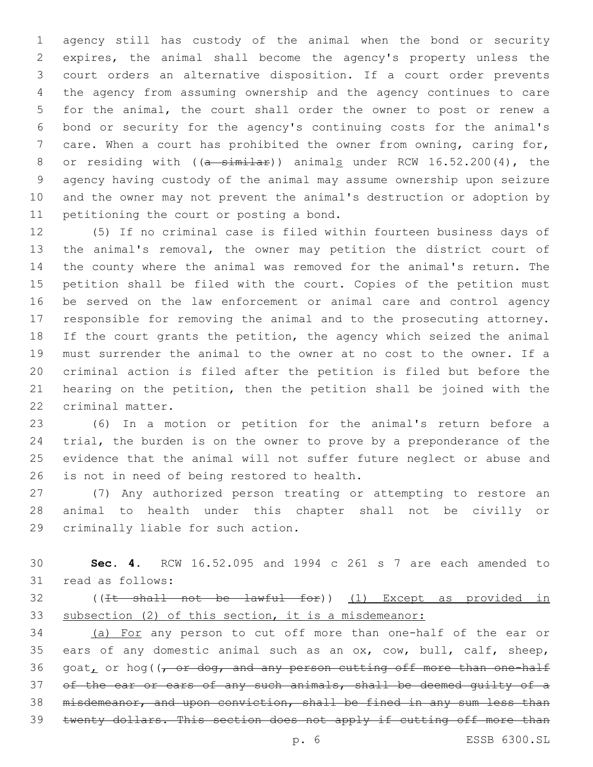agency still has custody of the animal when the bond or security expires, the animal shall become the agency's property unless the court orders an alternative disposition. If a court order prevents the agency from assuming ownership and the agency continues to care for the animal, the court shall order the owner to post or renew a bond or security for the agency's continuing costs for the animal's care. When a court has prohibited the owner from owning, caring for, 8 or residing with  $((a - \sin i a))$  animals under RCW 16.52.200(4), the agency having custody of the animal may assume ownership upon seizure and the owner may not prevent the animal's destruction or adoption by 11 petitioning the court or posting a bond.

 (5) If no criminal case is filed within fourteen business days of the animal's removal, the owner may petition the district court of the county where the animal was removed for the animal's return. The petition shall be filed with the court. Copies of the petition must be served on the law enforcement or animal care and control agency responsible for removing the animal and to the prosecuting attorney. If the court grants the petition, the agency which seized the animal must surrender the animal to the owner at no cost to the owner. If a criminal action is filed after the petition is filed but before the hearing on the petition, then the petition shall be joined with the 22 criminal matter.

 (6) In a motion or petition for the animal's return before a trial, the burden is on the owner to prove by a preponderance of the evidence that the animal will not suffer future neglect or abuse and 26 is not in need of being restored to health.

 (7) Any authorized person treating or attempting to restore an animal to health under this chapter shall not be civilly or 29 criminally liable for such action.

 **Sec. 4.** RCW 16.52.095 and 1994 c 261 s 7 are each amended to 31 read as follows:

 ((It shall not be lawful for)) (1) Except as provided in subsection (2) of this section, it is a misdemeanor:

 (a) For any person to cut off more than one-half of the ear or ears of any domestic animal such as an ox, cow, bull, calf, sheep,  $q$ oat, or hog( $\sqrt{r}$  or dog, and any person cutting off more than one-half 37 of the ear or ears of any such animals, shall be deemed quilty of a misdemeanor, and upon conviction, shall be fined in any sum less than twenty dollars. This section does not apply if cutting off more than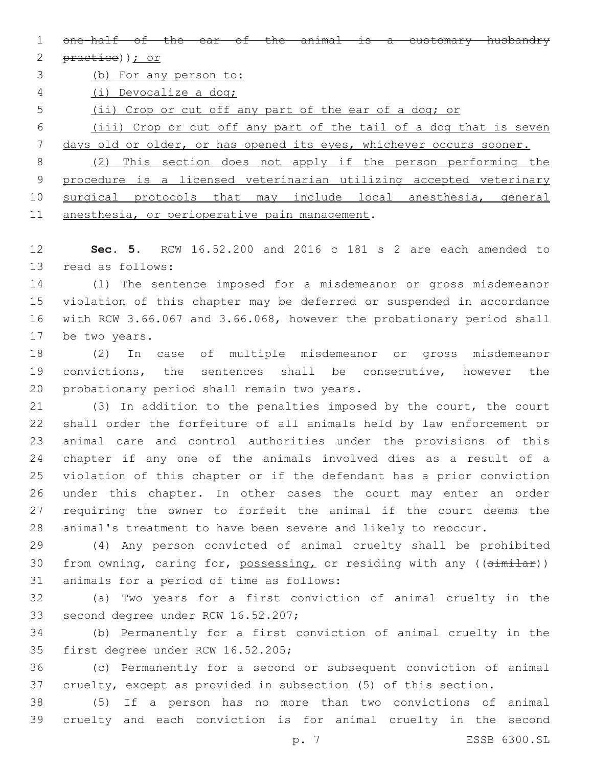1 one-half of the ear of the animal is a customary husbandry

2 practice)); or

(b) For any person to:

(i) Devocalize a dog;

(ii) Crop or cut off any part of the ear of a dog; or

 (iii) Crop or cut off any part of the tail of a dog that is seven days old or older, or has opened its eyes, whichever occurs sooner.

 (2) This section does not apply if the person performing the procedure is a licensed veterinarian utilizing accepted veterinary surgical protocols that may include local anesthesia, general 11 anesthesia, or perioperative pain management.

 **Sec. 5.** RCW 16.52.200 and 2016 c 181 s 2 are each amended to 13 read as follows:

 (1) The sentence imposed for a misdemeanor or gross misdemeanor violation of this chapter may be deferred or suspended in accordance with RCW 3.66.067 and 3.66.068, however the probationary period shall 17 be two years.

 (2) In case of multiple misdemeanor or gross misdemeanor convictions, the sentences shall be consecutive, however the 20 probationary period shall remain two years.

 (3) In addition to the penalties imposed by the court, the court shall order the forfeiture of all animals held by law enforcement or animal care and control authorities under the provisions of this chapter if any one of the animals involved dies as a result of a violation of this chapter or if the defendant has a prior conviction under this chapter. In other cases the court may enter an order requiring the owner to forfeit the animal if the court deems the animal's treatment to have been severe and likely to reoccur.

 (4) Any person convicted of animal cruelty shall be prohibited 30 from owning, caring for, possessing, or residing with any ((similar)) 31 animals for a period of time as follows:

 (a) Two years for a first conviction of animal cruelty in the 33 second degree under RCW 16.52.207;

 (b) Permanently for a first conviction of animal cruelty in the 35 first degree under RCW 16.52.205;

 (c) Permanently for a second or subsequent conviction of animal cruelty, except as provided in subsection (5) of this section.

 (5) If a person has no more than two convictions of animal cruelty and each conviction is for animal cruelty in the second

p. 7 ESSB 6300.SL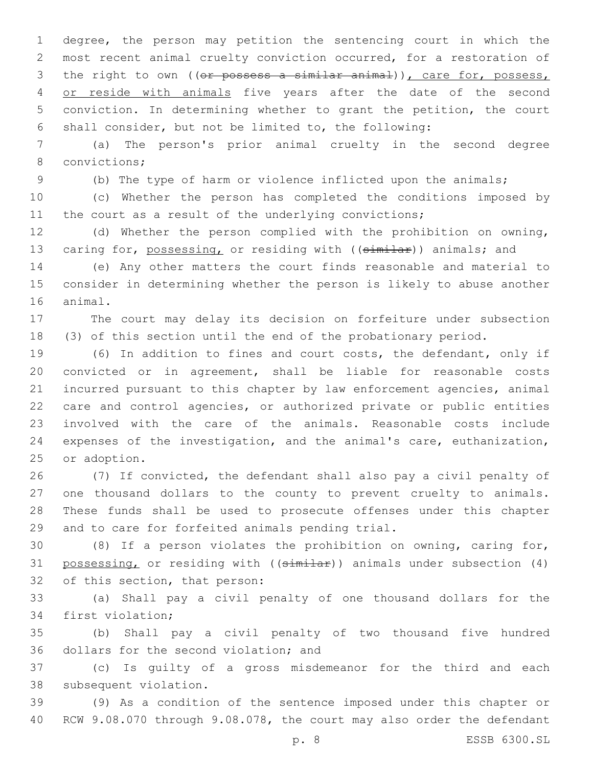degree, the person may petition the sentencing court in which the most recent animal cruelty conviction occurred, for a restoration of 3 the right to own ((or possess a similar animal)), care for, possess, 4 or reside with animals five years after the date of the second conviction. In determining whether to grant the petition, the court shall consider, but not be limited to, the following:

 (a) The person's prior animal cruelty in the second degree 8 convictions;

(b) The type of harm or violence inflicted upon the animals;

 (c) Whether the person has completed the conditions imposed by 11 the court as a result of the underlying convictions;

 (d) Whether the person complied with the prohibition on owning, 13 caring for, possessing, or residing with ((similar)) animals; and

 (e) Any other matters the court finds reasonable and material to consider in determining whether the person is likely to abuse another 16 animal.

 The court may delay its decision on forfeiture under subsection (3) of this section until the end of the probationary period.

 (6) In addition to fines and court costs, the defendant, only if convicted or in agreement, shall be liable for reasonable costs incurred pursuant to this chapter by law enforcement agencies, animal care and control agencies, or authorized private or public entities involved with the care of the animals. Reasonable costs include expenses of the investigation, and the animal's care, euthanization, 25 or adoption.

 (7) If convicted, the defendant shall also pay a civil penalty of one thousand dollars to the county to prevent cruelty to animals. These funds shall be used to prosecute offenses under this chapter 29 and to care for forfeited animals pending trial.

 (8) If a person violates the prohibition on owning, caring for, 31 possessing, or residing with ((similar)) animals under subsection (4) 32 of this section, that person:

 (a) Shall pay a civil penalty of one thousand dollars for the 34 first violation;

 (b) Shall pay a civil penalty of two thousand five hundred 36 dollars for the second violation; and

 (c) Is guilty of a gross misdemeanor for the third and each 38 subsequent violation.

 (9) As a condition of the sentence imposed under this chapter or RCW 9.08.070 through 9.08.078, the court may also order the defendant

p. 8 ESSB 6300.SL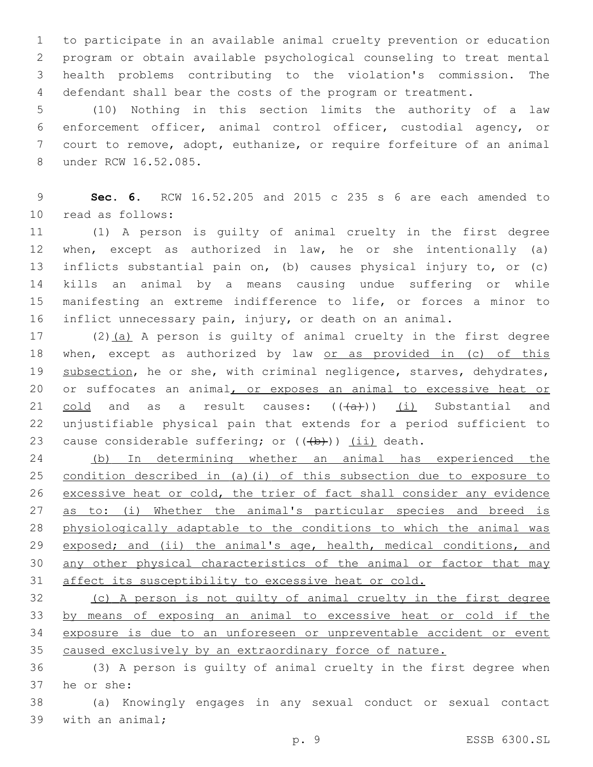to participate in an available animal cruelty prevention or education program or obtain available psychological counseling to treat mental health problems contributing to the violation's commission. The defendant shall bear the costs of the program or treatment.

 (10) Nothing in this section limits the authority of a law enforcement officer, animal control officer, custodial agency, or court to remove, adopt, euthanize, or require forfeiture of an animal 8 under RCW 16.52.085.

 **Sec. 6.** RCW 16.52.205 and 2015 c 235 s 6 are each amended to 10 read as follows:

 (1) A person is guilty of animal cruelty in the first degree when, except as authorized in law, he or she intentionally (a) inflicts substantial pain on, (b) causes physical injury to, or (c) kills an animal by a means causing undue suffering or while manifesting an extreme indifference to life, or forces a minor to inflict unnecessary pain, injury, or death on an animal.

 (2)(a) A person is guilty of animal cruelty in the first degree 18 when, except as authorized by law or as provided in (c) of this 19 subsection, he or she, with criminal negligence, starves, dehydrates, 20 or suffocates an animal, or exposes an animal to excessive heat or 21 cold and as a result causes:  $((+a))$  (i) Substantial and unjustifiable physical pain that extends for a period sufficient to 23 cause considerable suffering; or  $((\theta)+))$  (ii) death.

 (b) In determining whether an animal has experienced the condition described in (a)(i) of this subsection due to exposure to excessive heat or cold, the trier of fact shall consider any evidence 27 as to: (i) Whether the animal's particular species and breed is physiologically adaptable to the conditions to which the animal was 29 exposed; and (ii) the animal's age, health, medical conditions, and any other physical characteristics of the animal or factor that may 31 affect its susceptibility to excessive heat or cold.

 (c) A person is not guilty of animal cruelty in the first degree by means of exposing an animal to excessive heat or cold if the exposure is due to an unforeseen or unpreventable accident or event caused exclusively by an extraordinary force of nature.

 (3) A person is guilty of animal cruelty in the first degree when 37 he or she:

 (a) Knowingly engages in any sexual conduct or sexual contact 39 with an animal;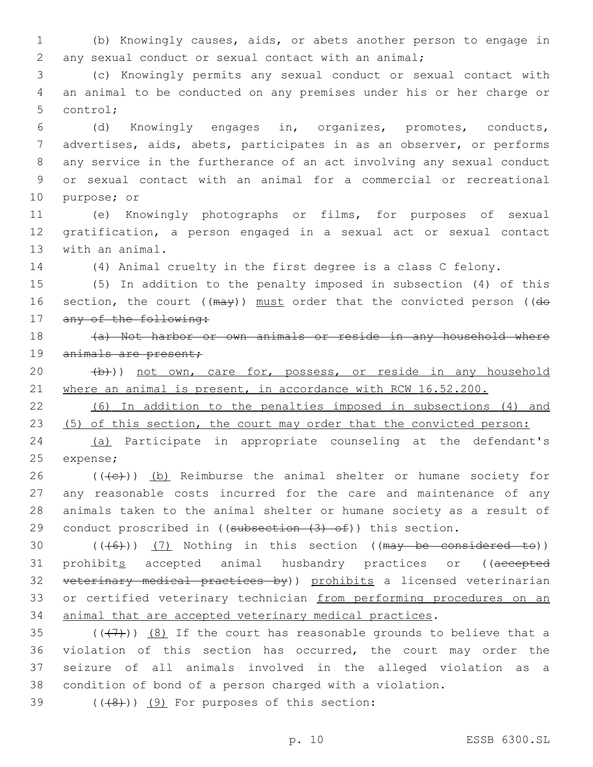1 (b) Knowingly causes, aids, or abets another person to engage in 2 any sexual conduct or sexual contact with an animal;

3 (c) Knowingly permits any sexual conduct or sexual contact with 4 an animal to be conducted on any premises under his or her charge or 5 control;

 (d) Knowingly engages in, organizes, promotes, conducts, advertises, aids, abets, participates in as an observer, or performs any service in the furtherance of an act involving any sexual conduct or sexual contact with an animal for a commercial or recreational 10 purpose; or

11 (e) Knowingly photographs or films, for purposes of sexual 12 gratification, a person engaged in a sexual act or sexual contact 13 with an animal.

14 (4) Animal cruelty in the first degree is a class C felony.

15 (5) In addition to the penalty imposed in subsection (4) of this 16 section, the court ((may)) must order that the convicted person ((do 17 any of the following:

18 (a) Not harbor or own animals or reside in any household where 19 animals are present;

20 (b))) not own, care for, possess, or reside in any household 21 where an animal is present, in accordance with RCW 16.52.200.

22 (6) In addition to the penalties imposed in subsections (4) and 23 (5) of this section, the court may order that the convicted person:

24 (a) Participate in appropriate counseling at the defendant's 25 expense;

 (( $\left(\frac{1}{2}\right)$ ) (b) Reimburse the animal shelter or humane society for any reasonable costs incurred for the care and maintenance of any animals taken to the animal shelter or humane society as a result of 29 conduct proscribed in ((subsection  $(3)$  of)) this section.

30  $((+6)$ )  $(7)$  Nothing in this section ((may be considered to)) 31 prohibits accepted animal husbandry practices or ((accepted 32 veterinary medical practices by)) prohibits a licensed veterinarian 33 or certified veterinary technician from performing procedures on an 34 animal that are accepted veterinary medical practices.

 $((+7+))$   $(8)$  If the court has reasonable grounds to believe that a violation of this section has occurred, the court may order the seizure of all animals involved in the alleged violation as a condition of bond of a person charged with a violation.

 $($  $($  $($  $($  $($  $($  $)$  $)$  $($  $)$   $($  $)$  For purposes of this section:

p. 10 ESSB 6300.SL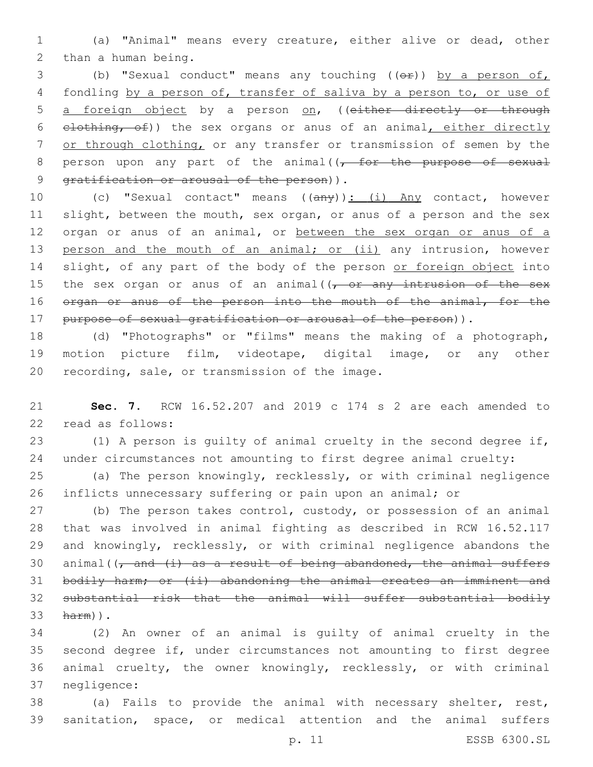1 (a) "Animal" means every creature, either alive or dead, other 2 than a human being.

3 (b) "Sexual conduct" means any touching (( $\Theta$ r)) by a person of, 4 fondling by a person of, transfer of saliva by a person to, or use of 5 a foreign object by a person on, ((either directly or through 6 elothing, of)) the sex organs or anus of an animal, either directly 7 or through clothing, or any transfer or transmission of semen by the 8 person upon any part of the animal( $\sqrt{f}$  or the purpose of sexual 9 gratification or arousal of the person)).

10 (c) "Sexual contact" means ((any)): (i) Any contact, however 11 slight, between the mouth, sex organ, or anus of a person and the sex 12 organ or anus of an animal, or between the sex organ or anus of a 13 person and the mouth of an animal; or (ii) any intrusion, however 14 slight, of any part of the body of the person or foreign object into 15 the sex organ or anus of an animal( $\sqrt{f}$  or any intrusion of the sex 16 organ or anus of the person into the mouth of the animal, for the 17 purpose of sexual gratification or arousal of the person)).

18 (d) "Photographs" or "films" means the making of a photograph, 19 motion picture film, videotape, digital image, or any other 20 recording, sale, or transmission of the image.

21 **Sec. 7.** RCW 16.52.207 and 2019 c 174 s 2 are each amended to 22 read as follows:

23 (1) A person is guilty of animal cruelty in the second degree if, 24 under circumstances not amounting to first degree animal cruelty:

25 (a) The person knowingly, recklessly, or with criminal negligence 26 inflicts unnecessary suffering or pain upon an animal; or

27 (b) The person takes control, custody, or possession of an animal 28 that was involved in animal fighting as described in RCW 16.52.117 29 and knowingly, recklessly, or with criminal negligence abandons the 30 animal( $\frac{1}{7}$  and  $\frac{1}{4}$  as a result of being abandoned, the animal suffers 31 bodily harm; or (ii) abandoning the animal creates an imminent and 32 substantial risk that the animal will suffer substantial bodily 33 harm)).

 (2) An owner of an animal is guilty of animal cruelty in the second degree if, under circumstances not amounting to first degree animal cruelty, the owner knowingly, recklessly, or with criminal 37 negligence:

38 (a) Fails to provide the animal with necessary shelter, rest, 39 sanitation, space, or medical attention and the animal suffers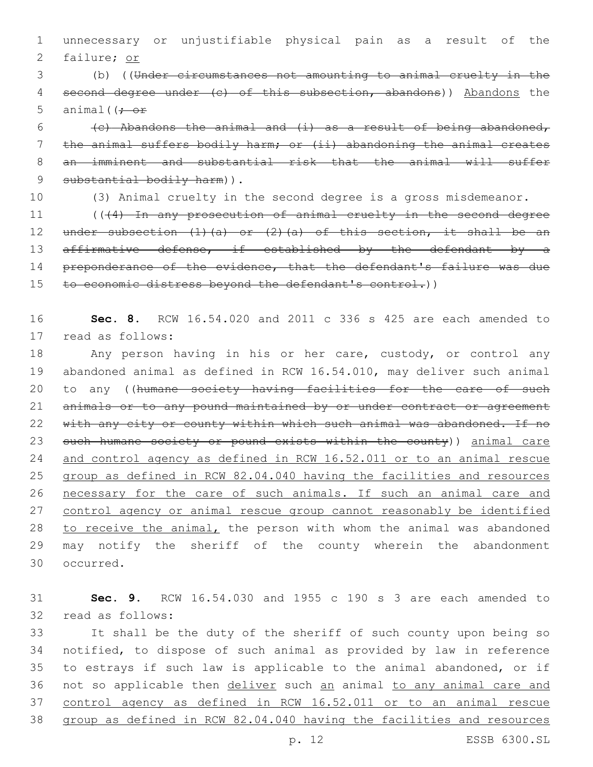1 unnecessary or unjustifiable physical pain as a result of the 2 failure; or

3 (b) ((Under circumstances not amounting to animal cruelty in the 4 second degree under (c) of this subsection, abandons)) Abandons the 5 animal( $\left(f - \sigma f\right)$ 

6 (c) Abandons the animal and  $(i)$  as a result of being abandoned, 7 the animal suffers bodily harm; or (ii) abandoning the animal creates 8 an imminent and substantial risk that the animal will suffer 9 substantial bodily harm)).

10 (3) Animal cruelty in the second degree is a gross misdemeanor.

11 (((4) In any prosecution of animal cruelty in the second degree 12 under subsection  $(1)$   $(a)$  or  $(2)$   $(a)$  of this section, it shall be an 13 affirmative defense, if established by the defendant by a 14 preponderance of the evidence, that the defendant's failure was due 15 to economic distress beyond the defendant's control.))

16 **Sec. 8.** RCW 16.54.020 and 2011 c 336 s 425 are each amended to 17 read as follows:

 Any person having in his or her care, custody, or control any abandoned animal as defined in RCW 16.54.010, may deliver such animal 20 to any ((humane society having facilities for the care of such 21 animals or to any pound maintained by or under contract or agreement 22 with any city or county within which such animal was abandoned. If no 23 such humane society or pound exists within the county)) animal care and control agency as defined in RCW 16.52.011 or to an animal rescue group as defined in RCW 82.04.040 having the facilities and resources necessary for the care of such animals. If such an animal care and control agency or animal rescue group cannot reasonably be identified to receive the animal, the person with whom the animal was abandoned may notify the sheriff of the county wherein the abandonment 30 occurred.

31 **Sec. 9.** RCW 16.54.030 and 1955 c 190 s 3 are each amended to 32 read as follows:

 It shall be the duty of the sheriff of such county upon being so notified, to dispose of such animal as provided by law in reference to estrays if such law is applicable to the animal abandoned, or if 36 not so applicable then deliver such an animal to any animal care and control agency as defined in RCW 16.52.011 or to an animal rescue group as defined in RCW 82.04.040 having the facilities and resources